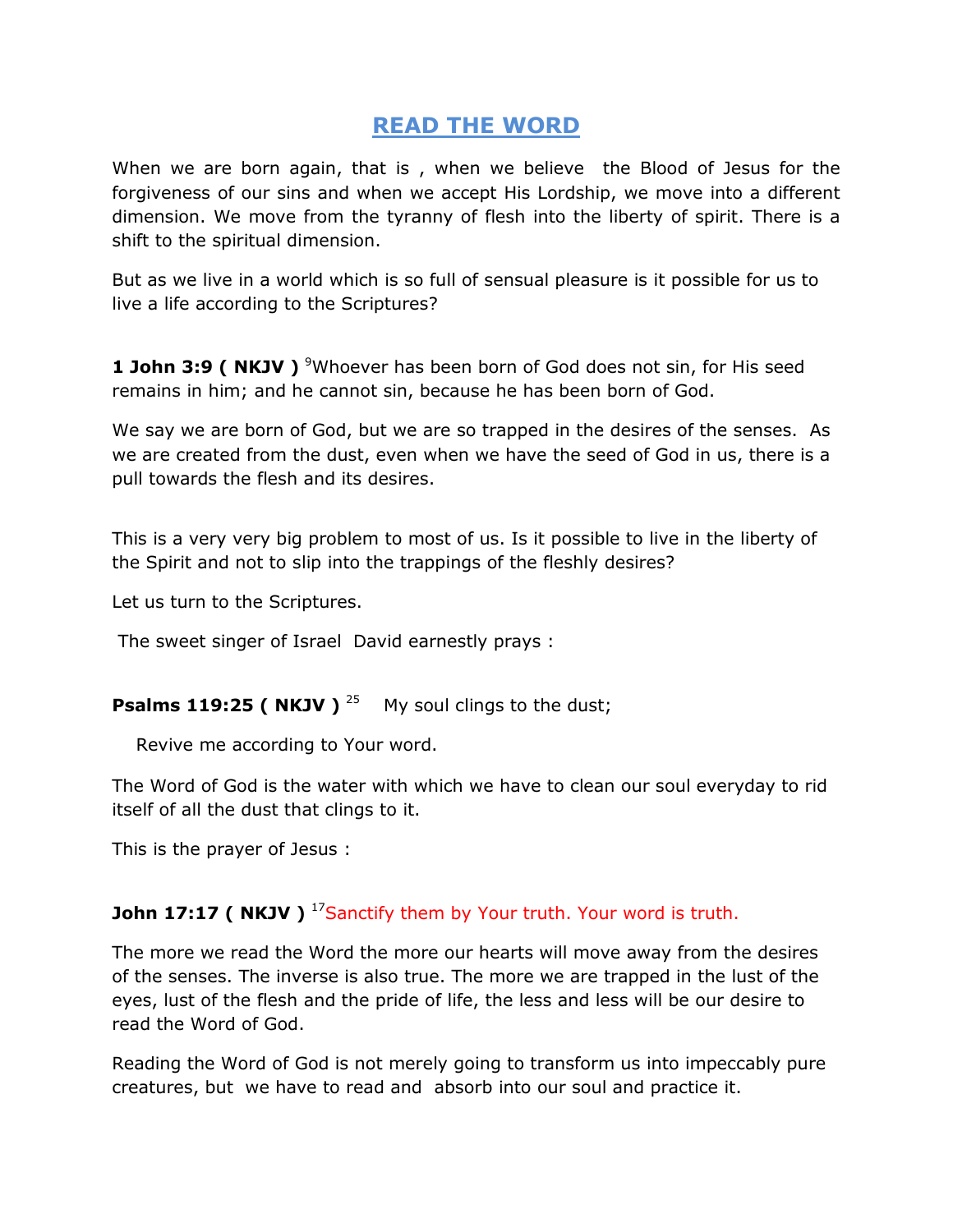## **READ THE WORD**

When we are born again, that is , when we believe the Blood of Jesus for the forgiveness of our sins and when we accept His Lordship, we move into a different dimension. We move from the tyranny of flesh into the liberty of spirit. There is a shift to the spiritual dimension.

But as we live in a world which is so full of sensual pleasure is it possible for us to live a life according to the Scriptures?

**1 John 3:9 ( NKJV )** <sup>9</sup>Whoever has been born of God does not sin, for His seed remains in him; and he cannot sin, because he has been born of God.

We say we are born of God, but we are so trapped in the desires of the senses. As we are created from the dust, even when we have the seed of God in us, there is a pull towards the flesh and its desires.

This is a very very big problem to most of us. Is it possible to live in the liberty of the Spirit and not to slip into the trappings of the fleshly desires?

Let us turn to the Scriptures.

The sweet singer of Israel David earnestly prays :

**Psalms 119:25 ( NKJV )**  $^{25}$  My soul clings to the dust;

Revive me according to Your word.

The Word of God is the water with which we have to clean our soul everyday to rid itself of all the dust that clings to it.

This is the prayer of Jesus :

## **John 17:17 ( NKJV )** <sup>17</sup>Sanctify them by Your truth. Your word is truth.

The more we read the Word the more our hearts will move away from the desires of the senses. The inverse is also true. The more we are trapped in the lust of the eyes, lust of the flesh and the pride of life, the less and less will be our desire to read the Word of God.

Reading the Word of God is not merely going to transform us into impeccably pure creatures, but we have to read and absorb into our soul and practice it.